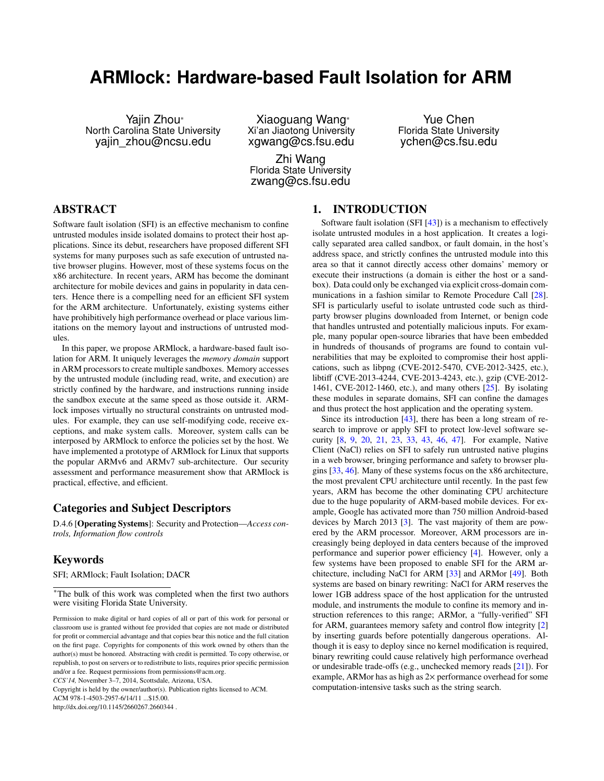# **ARMlock: Hardware-based Fault Isolation for ARM**

Yajin Zhou<sup>∗</sup> North Carolina State University yajin\_zhou@ncsu.edu

Xiaoguang Wang<sup>∗</sup> Xi'an Jiaotong University xgwang@cs.fsu.edu

Zhi Wang Florida State University zwang@cs.fsu.edu

Yue Chen Florida State University ychen@cs.fsu.edu

# ABSTRACT

Software fault isolation (SFI) is an effective mechanism to confine untrusted modules inside isolated domains to protect their host applications. Since its debut, researchers have proposed different SFI systems for many purposes such as safe execution of untrusted native browser plugins. However, most of these systems focus on the x86 architecture. In recent years, ARM has become the dominant architecture for mobile devices and gains in popularity in data centers. Hence there is a compelling need for an efficient SFI system for the ARM architecture. Unfortunately, existing systems either have prohibitively high performance overhead or place various limitations on the memory layout and instructions of untrusted modules.

In this paper, we propose ARMlock, a hardware-based fault isolation for ARM. It uniquely leverages the *memory domain* support in ARM processors to create multiple sandboxes. Memory accesses by the untrusted module (including read, write, and execution) are strictly confined by the hardware, and instructions running inside the sandbox execute at the same speed as those outside it. ARMlock imposes virtually no structural constraints on untrusted modules. For example, they can use self-modifying code, receive exceptions, and make system calls. Moreover, system calls can be interposed by ARMlock to enforce the policies set by the host. We have implemented a prototype of ARMlock for Linux that supports the popular ARMv6 and ARMv7 sub-architecture. Our security assessment and performance measurement show that ARMlock is practical, effective, and efficient.

## Categories and Subject Descriptors

D.4.6 [Operating Systems]: Security and Protection—*Access controls, Information flow controls*

## Keywords

SFI; ARMlock; Fault Isolation; DACR

*CCS'14,* November 3–7, 2014, Scottsdale, Arizona, USA.

Copyright is held by the owner/author(s). Publication rights licensed to ACM.

ACM 978-1-4503-2957-6/14/11 ...\$15.00.

http://dx.doi.org/10.1145/2660267.2660344 .

# 1. INTRODUCTION

Software fault isolation (SFI [\[43\]](#page-11-0)) is a mechanism to effectively isolate untrusted modules in a host application. It creates a logically separated area called sandbox, or fault domain, in the host's address space, and strictly confines the untrusted module into this area so that it cannot directly access other domains' memory or execute their instructions (a domain is either the host or a sandbox). Data could only be exchanged via explicit cross-domain communications in a fashion similar to Remote Procedure Call [\[28\]](#page-11-1). SFI is particularly useful to isolate untrusted code such as thirdparty browser plugins downloaded from Internet, or benign code that handles untrusted and potentially malicious inputs. For example, many popular open-source libraries that have been embedded in hundreds of thousands of programs are found to contain vulnerabilities that may be exploited to compromise their host applications, such as libpng (CVE-2012-5470, CVE-2012-3425, etc.), libtiff (CVE-2013-4244, CVE-2013-4243, etc.), gzip (CVE-2012- 1461, CVE-2012-1460, etc.), and many others [\[25\]](#page-10-0). By isolating these modules in separate domains, SFI can confine the damages and thus protect the host application and the operating system.

Since its introduction [\[43\]](#page-11-0), there has been a long stream of research to improve or apply SFI to protect low-level software security [\[8,](#page-10-1) [9,](#page-10-2) [20,](#page-10-3) [21,](#page-10-4) [23,](#page-10-5) [33,](#page-11-2) [43,](#page-11-0) [46,](#page-11-3) [47\]](#page-11-4). For example, Native Client (NaCl) relies on SFI to safely run untrusted native plugins in a web browser, bringing performance and safety to browser plugins [\[33,](#page-11-2) [46\]](#page-11-3). Many of these systems focus on the x86 architecture, the most prevalent CPU architecture until recently. In the past few years, ARM has become the other dominating CPU architecture due to the huge popularity of ARM-based mobile devices. For example, Google has activated more than 750 million Android-based devices by March 2013 [\[3\]](#page-10-6). The vast majority of them are powered by the ARM processor. Moreover, ARM processors are increasingly being deployed in data centers because of the improved performance and superior power efficiency [\[4\]](#page-10-7). However, only a few systems have been proposed to enable SFI for the ARM architecture, including NaCl for ARM [\[33\]](#page-11-2) and ARMor [\[49\]](#page-11-5). Both systems are based on binary rewriting: NaCl for ARM reserves the lower 1GB address space of the host application for the untrusted module, and instruments the module to confine its memory and instruction references to this range; ARMor, a "fully-verified" SFI for ARM, guarantees memory safety and control flow integrity [\[2\]](#page-10-8) by inserting guards before potentially dangerous operations. Although it is easy to deploy since no kernel modification is required, binary rewriting could cause relatively high performance overhead or undesirable trade-offs (e.g., unchecked memory reads [\[21\]](#page-10-4)). For example, ARMor has as high as 2× performance overhead for some computation-intensive tasks such as the string search.

<sup>∗</sup>The bulk of this work was completed when the first two authors were visiting Florida State University.

Permission to make digital or hard copies of all or part of this work for personal or classroom use is granted without fee provided that copies are not made or distributed for profit or commercial advantage and that copies bear this notice and the full citation on the first page. Copyrights for components of this work owned by others than the author(s) must be honored. Abstracting with credit is permitted. To copy otherwise, or republish, to post on servers or to redistribute to lists, requires prior specific permission and/or a fee. Request permissions from permissions@acm.org.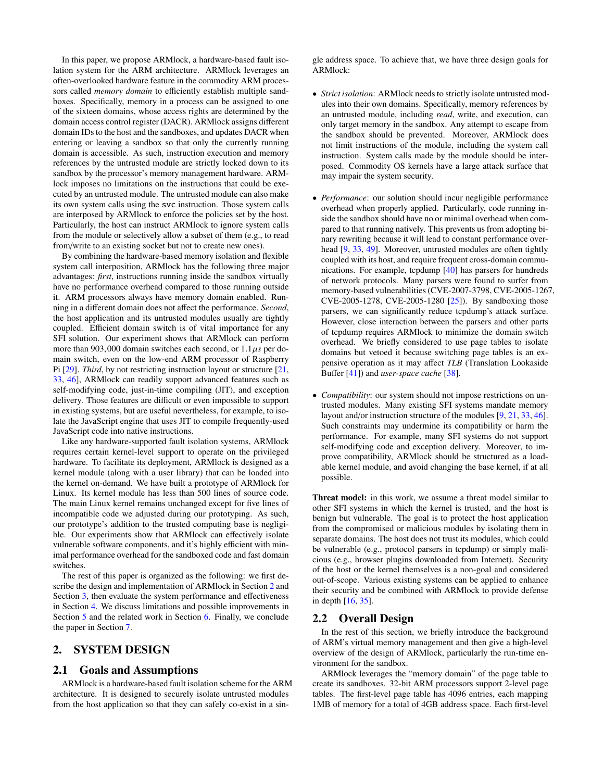In this paper, we propose ARMlock, a hardware-based fault isolation system for the ARM architecture. ARMlock leverages an often-overlooked hardware feature in the commodity ARM processors called *memory domain* to efficiently establish multiple sandboxes. Specifically, memory in a process can be assigned to one of the sixteen domains, whose access rights are determined by the domain access control register (DACR). ARMlock assigns different domain IDs to the host and the sandboxes, and updates DACR when entering or leaving a sandbox so that only the currently running domain is accessible. As such, instruction execution and memory references by the untrusted module are strictly locked down to its sandbox by the processor's memory management hardware. ARMlock imposes no limitations on the instructions that could be executed by an untrusted module. The untrusted module can also make its own system calls using the svc instruction. Those system calls are interposed by ARMlock to enforce the policies set by the host. Particularly, the host can instruct ARMlock to ignore system calls from the module or selectively allow a subset of them (e.g., to read from/write to an existing socket but not to create new ones).

By combining the hardware-based memory isolation and flexible system call interposition, ARMlock has the following three major advantages: *first*, instructions running inside the sandbox virtually have no performance overhead compared to those running outside it. ARM processors always have memory domain enabled. Running in a different domain does not affect the performance. *Second*, the host application and its untrusted modules usually are tightly coupled. Efficient domain switch is of vital importance for any SFI solution. Our experiment shows that ARMlock can perform more than 903,000 domain switches each second, or  $1.1 \mu s$  per domain switch, even on the low-end ARM processor of Raspberry Pi [\[29\]](#page-11-6). *Third*, by not restricting instruction layout or structure [\[21,](#page-10-4) [33,](#page-11-2) [46\]](#page-11-3), ARMlock can readily support advanced features such as self-modifying code, just-in-time compiling (JIT), and exception delivery. Those features are difficult or even impossible to support in existing systems, but are useful nevertheless, for example, to isolate the JavaScript engine that uses JIT to compile frequently-used JavaScript code into native instructions.

Like any hardware-supported fault isolation systems, ARMlock requires certain kernel-level support to operate on the privileged hardware. To facilitate its deployment, ARMlock is designed as a kernel module (along with a user library) that can be loaded into the kernel on-demand. We have built a prototype of ARMlock for Linux. Its kernel module has less than 500 lines of source code. The main Linux kernel remains unchanged except for five lines of incompatible code we adjusted during our prototyping. As such, our prototype's addition to the trusted computing base is negligible. Our experiments show that ARMlock can effectively isolate vulnerable software components, and it's highly efficient with minimal performance overhead for the sandboxed code and fast domain switches.

The rest of this paper is organized as the following: we first describe the design and implementation of ARMlock in Section [2](#page-1-0) and Section [3,](#page-3-0) then evaluate the system performance and effectiveness in Section [4.](#page-6-0) We discuss limitations and possible improvements in Section [5](#page-8-0) and the related work in Section [6.](#page-9-0) Finally, we conclude the paper in Section [7.](#page-10-9)

# <span id="page-1-0"></span>2. SYSTEM DESIGN

## 2.1 Goals and Assumptions

ARMlock is a hardware-based fault isolation scheme for the ARM architecture. It is designed to securely isolate untrusted modules from the host application so that they can safely co-exist in a single address space. To achieve that, we have three design goals for ARMlock:

- *Strict isolation*: ARMlock needs to strictly isolate untrusted modules into their own domains. Specifically, memory references by an untrusted module, including *read*, write, and execution, can only target memory in the sandbox. Any attempt to escape from the sandbox should be prevented. Moreover, ARMlock does not limit instructions of the module, including the system call instruction. System calls made by the module should be interposed. Commodity OS kernels have a large attack surface that may impair the system security.
- *Performance*: our solution should incur negligible performance overhead when properly applied. Particularly, code running inside the sandbox should have no or minimal overhead when compared to that running natively. This prevents us from adopting binary rewriting because it will lead to constant performance overhead [\[9,](#page-10-2) [33,](#page-11-2) [49\]](#page-11-5). Moreover, untrusted modules are often tightly coupled with its host, and require frequent cross-domain communications. For example, tcpdump [\[40\]](#page-11-7) has parsers for hundreds of network protocols. Many parsers were found to surfer from memory-based vulnerabilities (CVE-2007-3798, CVE-2005-1267, CVE-2005-1278, CVE-2005-1280 [\[25\]](#page-10-0)). By sandboxing those parsers, we can significantly reduce tcpdump's attack surface. However, close interaction between the parsers and other parts of tcpdump requires ARMlock to minimize the domain switch overhead. We briefly considered to use page tables to isolate domains but vetoed it because switching page tables is an expensive operation as it may affect *TLB* (Translation Lookaside Buffer [\[41\]](#page-11-8)) and *user-space cache* [\[38\]](#page-11-9).
- *Compatibility*: our system should not impose restrictions on untrusted modules. Many existing SFI systems mandate memory layout and/or instruction structure of the modules [\[9,](#page-10-2) [21,](#page-10-4) [33,](#page-11-2) [46\]](#page-11-3). Such constraints may undermine its compatibility or harm the performance. For example, many SFI systems do not support self-modifying code and exception delivery. Moreover, to improve compatibility, ARMlock should be structured as a loadable kernel module, and avoid changing the base kernel, if at all possible.

Threat model: in this work, we assume a threat model similar to other SFI systems in which the kernel is trusted, and the host is benign but vulnerable. The goal is to protect the host application from the compromised or malicious modules by isolating them in separate domains. The host does not trust its modules, which could be vulnerable (e.g., protocol parsers in tcpdump) or simply malicious (e.g., browser plugins downloaded from Internet). Security of the host or the kernel themselves is a non-goal and considered out-of-scope. Various existing systems can be applied to enhance their security and be combined with ARMlock to provide defense in depth [\[16,](#page-10-10) [35\]](#page-11-10).

#### 2.2 Overall Design

In the rest of this section, we briefly introduce the background of ARM's virtual memory management and then give a high-level overview of the design of ARMlock, particularly the run-time environment for the sandbox.

ARMlock leverages the "memory domain" of the page table to create its sandboxes. 32-bit ARM processors support 2-level page tables. The first-level page table has 4096 entries, each mapping 1MB of memory for a total of 4GB address space. Each first-level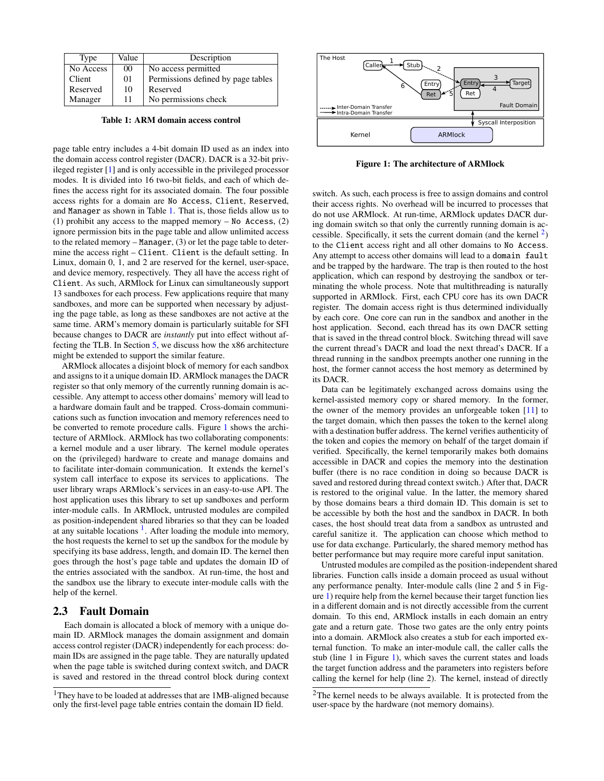| Type      | Value | Description                        |
|-----------|-------|------------------------------------|
| No Access | 00    | No access permitted                |
| Client    | 01    | Permissions defined by page tables |
| Reserved  | 10    | Reserved                           |
| Manager   | 11    | No permissions check               |

<span id="page-2-0"></span>Table 1: ARM domain access control

page table entry includes a 4-bit domain ID used as an index into the domain access control register (DACR). DACR is a 32-bit privileged register [\[1\]](#page-10-11) and is only accessible in the privileged processor modes. It is divided into 16 two-bit fields, and each of which defines the access right for its associated domain. The four possible access rights for a domain are No Access, Client, Reserved, and Manager as shown in Table [1.](#page-2-0) That is, those fields allow us to (1) prohibit any access to the mapped memory – No Access,  $(2)$ ignore permission bits in the page table and allow unlimited access to the related memory – Manager, (3) or let the page table to determine the access right – Client. Client is the default setting. In Linux, domain 0, 1, and 2 are reserved for the kernel, user-space, and device memory, respectively. They all have the access right of Client. As such, ARMlock for Linux can simultaneously support 13 sandboxes for each process. Few applications require that many sandboxes, and more can be supported when necessary by adjusting the page table, as long as these sandboxes are not active at the same time. ARM's memory domain is particularly suitable for SFI because changes to DACR are *instantly* put into effect without affecting the TLB. In Section [5,](#page-8-0) we discuss how the x86 architecture might be extended to support the similar feature.

ARMlock allocates a disjoint block of memory for each sandbox and assigns to it a unique domain ID. ARMlock manages the DACR register so that only memory of the currently running domain is accessible. Any attempt to access other domains' memory will lead to a hardware domain fault and be trapped. Cross-domain communications such as function invocation and memory references need to be converted to remote procedure calls. Figure [1](#page-2-1) shows the architecture of ARMlock. ARMlock has two collaborating components: a kernel module and a user library. The kernel module operates on the (privileged) hardware to create and manage domains and to facilitate inter-domain communication. It extends the kernel's system call interface to expose its services to applications. The user library wraps ARMlock's services in an easy-to-use API. The host application uses this library to set up sandboxes and perform inter-module calls. In ARMlock, untrusted modules are compiled as position-independent shared libraries so that they can be loaded at any suitable locations<sup>[1](#page-2-2)</sup>. After loading the module into memory, the host requests the kernel to set up the sandbox for the module by specifying its base address, length, and domain ID. The kernel then goes through the host's page table and updates the domain ID of the entries associated with the sandbox. At run-time, the host and the sandbox use the library to execute inter-module calls with the help of the kernel.

## 2.3 Fault Domain

Each domain is allocated a block of memory with a unique domain ID. ARMlock manages the domain assignment and domain access control register (DACR) independently for each process: domain IDs are assigned in the page table. They are naturally updated when the page table is switched during context switch, and DACR is saved and restored in the thread control block during context



<span id="page-2-1"></span>Figure 1: The architecture of ARMlock

switch. As such, each process is free to assign domains and control their access rights. No overhead will be incurred to processes that do not use ARMlock. At run-time, ARMlock updates DACR during domain switch so that only the currently running domain is accessible. Specifically, it sets the current domain (and the kernel  $2$ ) to the Client access right and all other domains to No Access. Any attempt to access other domains will lead to a domain fault and be trapped by the hardware. The trap is then routed to the host application, which can respond by destroying the sandbox or terminating the whole process. Note that multithreading is naturally supported in ARMlock. First, each CPU core has its own DACR register. The domain access right is thus determined individually by each core. One core can run in the sandbox and another in the host application. Second, each thread has its own DACR setting that is saved in the thread control block. Switching thread will save the current thread's DACR and load the next thread's DACR. If a thread running in the sandbox preempts another one running in the host, the former cannot access the host memory as determined by its DACR.

Data can be legitimately exchanged across domains using the kernel-assisted memory copy or shared memory. In the former, the owner of the memory provides an unforgeable token [\[11\]](#page-10-12) to the target domain, which then passes the token to the kernel along with a destination buffer address. The kernel verifies authenticity of the token and copies the memory on behalf of the target domain if verified. Specifically, the kernel temporarily makes both domains accessible in DACR and copies the memory into the destination buffer (there is no race condition in doing so because DACR is saved and restored during thread context switch.) After that, DACR is restored to the original value. In the latter, the memory shared by those domains bears a third domain ID. This domain is set to be accessible by both the host and the sandbox in DACR. In both cases, the host should treat data from a sandbox as untrusted and careful sanitize it. The application can choose which method to use for data exchange. Particularly, the shared memory method has better performance but may require more careful input sanitation.

Untrusted modules are compiled as the position-independent shared libraries. Function calls inside a domain proceed as usual without any performance penalty. Inter-module calls (line 2 and 5 in Figure [1\)](#page-2-1) require help from the kernel because their target function lies in a different domain and is not directly accessible from the current domain. To this end, ARMlock installs in each domain an entry gate and a return gate. Those two gates are the only entry points into a domain. ARMlock also creates a stub for each imported external function. To make an inter-module call, the caller calls the stub (line 1 in Figure [1\)](#page-2-1), which saves the current states and loads the target function address and the parameters into registers before calling the kernel for help (line 2). The kernel, instead of directly

<span id="page-2-2"></span><sup>&</sup>lt;sup>1</sup>They have to be loaded at addresses that are 1MB-aligned because only the first-level page table entries contain the domain ID field.

<span id="page-2-3"></span><sup>2</sup>The kernel needs to be always available. It is protected from the user-space by the hardware (not memory domains).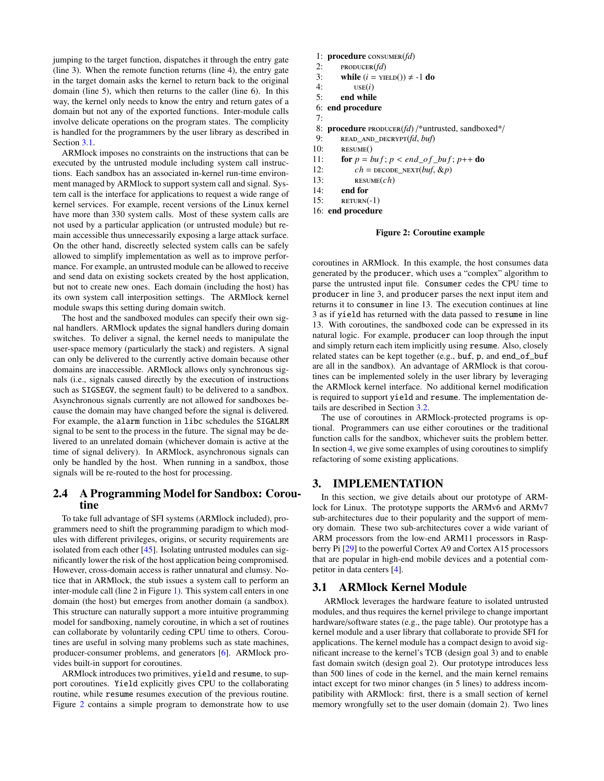jumping to the target function, dispatches it through the entry gate (line 3). When the remote function returns (line 4), the entry gate in the target domain asks the kernel to return back to the original domain (line 5), which then returns to the caller (line 6). In this way, the kernel only needs to know the entry and return gates of a domain but not any of the exported functions. Inter-module calls involve delicate operations on the program states. The complicity is handled for the programmers by the user library as described in Section [3.1.](#page-3-1)

ARMlock imposes no constraints on the instructions that can be executed by the untrusted module including system call instructions. Each sandbox has an associated in-kernel run-time environment managed by ARMlock to support system call and signal. System call is the interface for applications to request a wide range of kernel services. For example, recent versions of the Linux kernel have more than 330 system calls. Most of these system calls are not used by a particular application (or untrusted module) but remain accessible thus unnecessarily exposing a large attack surface. On the other hand, discreetly selected system calls can be safely allowed to simplify implementation as well as to improve performance. For example, an untrusted module can be allowed to receive and send data on existing sockets created by the host application, but not to create new ones. Each domain (including the host) has its own system call interposition settings. The ARMlock kernel module swaps this setting during domain switch.

The host and the sandboxed modules can specify their own signal handlers. ARMlock updates the signal handlers during domain switches. To deliver a signal, the kernel needs to manipulate the user-space memory (particularly the stack) and registers. A signal can only be delivered to the currently active domain because other domains are inaccessible. ARMlock allows only synchronous signals (i.e., signals caused directly by the execution of instructions such as SIGSEGV, the segment fault) to be delivered to a sandbox. Asynchronous signals currently are not allowed for sandboxes because the domain may have changed before the signal is delivered. For example, the alarm function in libc schedules the SIGALRM signal to be sent to the process in the future. The signal may be delivered to an unrelated domain (whichever domain is active at the time of signal delivery). In ARMlock, asynchronous signals can only be handled by the host. When running in a sandbox, those signals will be re-routed to the host for processing.

## <span id="page-3-3"></span>2.4 A Programming Model for Sandbox: Coroutine

To take full advantage of SFI systems (ARMlock included), programmers need to shift the programming paradigm to which modules with different privileges, origins, or security requirements are isolated from each other [\[45\]](#page-11-11). Isolating untrusted modules can significantly lower the risk of the host application being compromised. However, cross-domain access is rather unnatural and clumsy. Notice that in ARMlock, the stub issues a system call to perform an inter-module call (line 2 in Figure [1\)](#page-2-1). This system call enters in one domain (the host) but emerges from another domain (a sandbox). This structure can naturally support a more intuitive programming model for sandboxing, namely coroutine, in which a set of routines can collaborate by voluntarily ceding CPU time to others. Coroutines are useful in solving many problems such as state machines, producer-consumer problems, and generators [\[6\]](#page-10-13). ARMlock provides built-in support for coroutines.

ARMlock introduces two primitives, yield and resume, to support coroutines. Yield explicitly gives CPU to the collaborating routine, while resume resumes execution of the previous routine. Figure [2](#page-3-2) contains a simple program to demonstrate how to use

- 1: procedure consumer(*fd*)
- 2: producer(*fd*)
	- 3: while  $(i = \text{YIELD}() \neq -1$  do
	- 4: use(*i*)
- 5: end while
- 6: end procedure
- 7:
- 8: procedure  $\text{PRODUCER}(fd)$  /\*untrusted, sandboxed\*/
- 9: read\_and\_decrypt(*fd*, *buf*)
- 10: resume()
- 11: **for**  $p = but$   $f$ ;  $p < end\_of\_but$ ;  $p++$  **do**<br>12:  $ch = \text{Decone} \text{ Next}(but \& n)$
- $ch =$  decode Next(*buf*, &*p*)
- 13: resume(*ch*)
- 14: end for
- 15: return(-1)
- 16: end procedure

#### <span id="page-3-2"></span>Figure 2: Coroutine example

coroutines in ARMlock. In this example, the host consumes data generated by the producer, which uses a "complex" algorithm to parse the untrusted input file. Consumer cedes the CPU time to producer in line 3, and producer parses the next input item and returns it to consumer in line 13. The execution continues at line 3 as if yield has returned with the data passed to resume in line 13. With coroutines, the sandboxed code can be expressed in its natural logic. For example, producer can loop through the input and simply return each item implicitly using resume. Also, closely related states can be kept together (e.g., buf, p, and end\_of\_buf are all in the sandbox). An advantage of ARMlock is that coroutines can be implemented solely in the user library by leveraging the ARMlock kernel interface. No additional kernel modification is required to support yield and resume. The implementation details are described in Section [3.2.](#page-5-0)

The use of coroutines in ARMlock-protected programs is optional. Programmers can use either coroutines or the traditional function calls for the sandbox, whichever suits the problem better. In section [4,](#page-6-0) we give some examples of using coroutines to simplify refactoring of some existing applications.

#### <span id="page-3-0"></span>3. IMPLEMENTATION

In this section, we give details about our prototype of ARMlock for Linux. The prototype supports the ARMv6 and ARMv7 sub-architectures due to their popularity and the support of memory domain. These two sub-architectures cover a wide variant of ARM processors from the low-end ARM11 processors in Raspberry Pi [\[29\]](#page-11-6) to the powerful Cortex A9 and Cortex A15 processors that are popular in high-end mobile devices and a potential competitor in data centers [\[4\]](#page-10-7).

#### <span id="page-3-1"></span>3.1 ARMlock Kernel Module

ARMlock leverages the hardware feature to isolated untrusted modules, and thus requires the kernel privilege to change important hardware/software states (e.g., the page table). Our prototype has a kernel module and a user library that collaborate to provide SFI for applications. The kernel module has a compact design to avoid significant increase to the kernel's TCB (design goal 3) and to enable fast domain switch (design goal 2). Our prototype introduces less than 500 lines of code in the kernel, and the main kernel remains intact except for two minor changes (in 5 lines) to address incompatibility with ARMlock: first, there is a small section of kernel memory wrongfully set to the user domain (domain 2). Two lines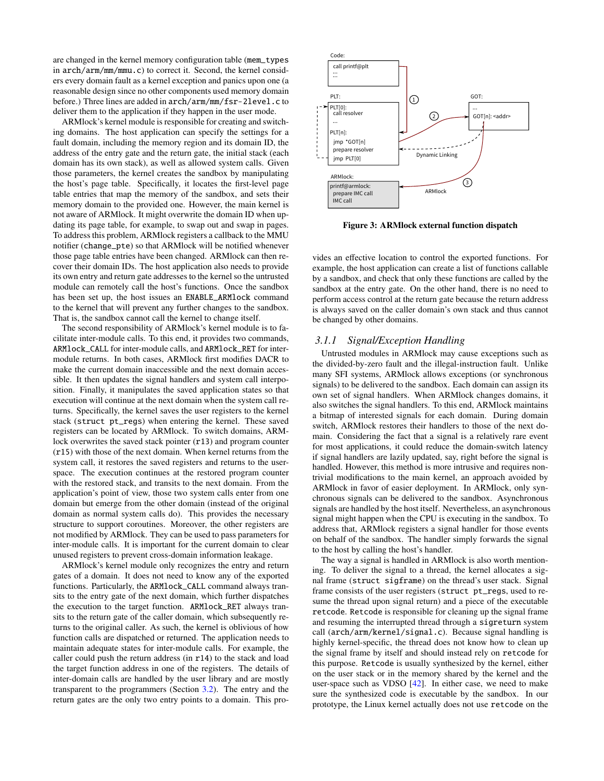are changed in the kernel memory configuration table (mem\_types in arch/arm/mm/mmu.c) to correct it. Second, the kernel considers every domain fault as a kernel exception and panics upon one (a reasonable design since no other components used memory domain before.) Three lines are added in arch/arm/mm/fsr-2level.c to deliver them to the application if they happen in the user mode.

ARMlock's kernel module is responsible for creating and switching domains. The host application can specify the settings for a fault domain, including the memory region and its domain ID, the address of the entry gate and the return gate, the initial stack (each domain has its own stack), as well as allowed system calls. Given those parameters, the kernel creates the sandbox by manipulating the host's page table. Specifically, it locates the first-level page table entries that map the memory of the sandbox, and sets their memory domain to the provided one. However, the main kernel is not aware of ARMlock. It might overwrite the domain ID when updating its page table, for example, to swap out and swap in pages. To address this problem, ARMlock registers a callback to the MMU notifier (change\_pte) so that ARMlock will be notified whenever those page table entries have been changed. ARMlock can then recover their domain IDs. The host application also needs to provide its own entry and return gate addresses to the kernel so the untrusted module can remotely call the host's functions. Once the sandbox has been set up, the host issues an ENABLE\_ARMlock command to the kernel that will prevent any further changes to the sandbox. That is, the sandbox cannot call the kernel to change itself.

The second responsibility of ARMlock's kernel module is to facilitate inter-module calls. To this end, it provides two commands, ARMlock\_CALL for inter-module calls, and ARMlock\_RET for intermodule returns. In both cases, ARMlock first modifies DACR to make the current domain inaccessible and the next domain accessible. It then updates the signal handlers and system call interposition. Finally, it manipulates the saved application states so that execution will continue at the next domain when the system call returns. Specifically, the kernel saves the user registers to the kernel stack (struct pt\_regs) when entering the kernel. These saved registers can be located by ARMlock. To switch domains, ARMlock overwrites the saved stack pointer (r13) and program counter (r15) with those of the next domain. When kernel returns from the system call, it restores the saved registers and returns to the userspace. The execution continues at the restored program counter with the restored stack, and transits to the next domain. From the application's point of view, those two system calls enter from one domain but emerge from the other domain (instead of the original domain as normal system calls do). This provides the necessary structure to support coroutines. Moreover, the other registers are not modified by ARMlock. They can be used to pass parameters for inter-module calls. It is important for the current domain to clear unused registers to prevent cross-domain information leakage.

ARMlock's kernel module only recognizes the entry and return gates of a domain. It does not need to know any of the exported functions. Particularly, the ARMlock\_CALL command always transits to the entry gate of the next domain, which further dispatches the execution to the target function. ARMlock\_RET always transits to the return gate of the caller domain, which subsequently returns to the original caller. As such, the kernel is oblivious of how function calls are dispatched or returned. The application needs to maintain adequate states for inter-module calls. For example, the caller could push the return address (in r14) to the stack and load the target function address in one of the registers. The details of inter-domain calls are handled by the user library and are mostly transparent to the programmers (Section [3.2\)](#page-5-0). The entry and the return gates are the only two entry points to a domain. This pro-



<span id="page-4-0"></span>Figure 3: ARMlock external function dispatch

vides an effective location to control the exported functions. For example, the host application can create a list of functions callable by a sandbox, and check that only these functions are called by the sandbox at the entry gate. On the other hand, there is no need to perform access control at the return gate because the return address is always saved on the caller domain's own stack and thus cannot be changed by other domains.

#### *3.1.1 Signal/Exception Handling*

Untrusted modules in ARMlock may cause exceptions such as the divided-by-zero fault and the illegal-instruction fault. Unlike many SFI systems, ARMlock allows exceptions (or synchronous signals) to be delivered to the sandbox. Each domain can assign its own set of signal handlers. When ARMlock changes domains, it also switches the signal handlers. To this end, ARMlock maintains a bitmap of interested signals for each domain. During domain switch, ARMlock restores their handlers to those of the next domain. Considering the fact that a signal is a relatively rare event for most applications, it could reduce the domain-switch latency if signal handlers are lazily updated, say, right before the signal is handled. However, this method is more intrusive and requires nontrivial modifications to the main kernel, an approach avoided by ARMlock in favor of easier deployment. In ARMlock, only synchronous signals can be delivered to the sandbox. Asynchronous signals are handled by the host itself. Nevertheless, an asynchronous signal might happen when the CPU is executing in the sandbox. To address that, ARMlock registers a signal handler for those events on behalf of the sandbox. The handler simply forwards the signal to the host by calling the host's handler.

The way a signal is handled in ARMlock is also worth mentioning. To deliver the signal to a thread, the kernel allocates a signal frame (struct sigframe) on the thread's user stack. Signal frame consists of the user registers (struct pt\_regs, used to resume the thread upon signal return) and a piece of the executable retcode. Retcode is responsible for cleaning up the signal frame and resuming the interrupted thread through a sigreturn system call (arch/arm/kernel/signal.c). Because signal handling is highly kernel-specific, the thread does not know how to clean up the signal frame by itself and should instead rely on retcode for this purpose. Retcode is usually synthesized by the kernel, either on the user stack or in the memory shared by the kernel and the user-space such as VDSO [\[42\]](#page-11-12). In either case, we need to make sure the synthesized code is executable by the sandbox. In our prototype, the Linux kernel actually does not use retcode on the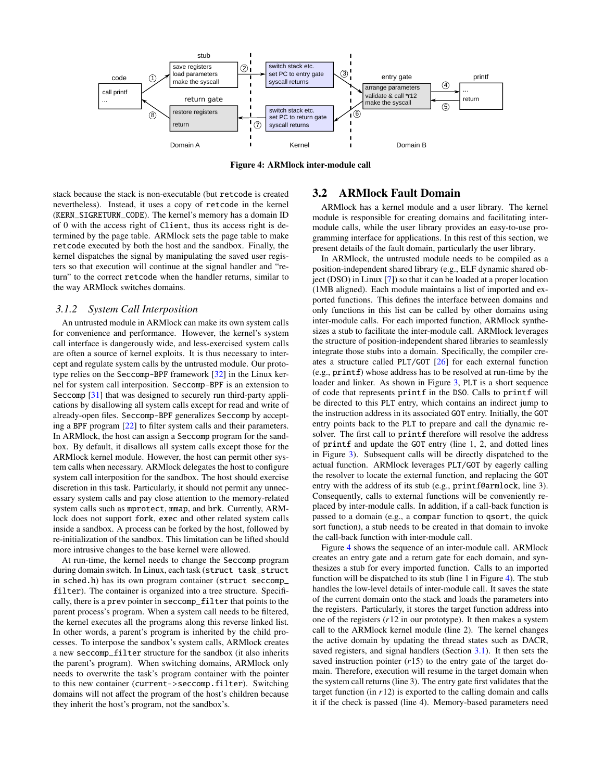

<span id="page-5-1"></span>Figure 4: ARMlock inter-module call

stack because the stack is non-executable (but retcode is created nevertheless). Instead, it uses a copy of retcode in the kernel (KERN\_SIGRETURN\_CODE). The kernel's memory has a domain ID of 0 with the access right of Client, thus its access right is determined by the page table. ARMlock sets the page table to make retcode executed by both the host and the sandbox. Finally, the kernel dispatches the signal by manipulating the saved user registers so that execution will continue at the signal handler and "return" to the correct retcode when the handler returns, similar to the way ARMlock switches domains.

#### *3.1.2 System Call Interposition*

An untrusted module in ARMlock can make its own system calls for convenience and performance. However, the kernel's system call interface is dangerously wide, and less-exercised system calls are often a source of kernel exploits. It is thus necessary to intercept and regulate system calls by the untrusted module. Our prototype relies on the Seccomp-BPF framework [\[32\]](#page-11-13) in the Linux kernel for system call interposition. Seccomp-BPF is an extension to Seccomp [\[31\]](#page-11-14) that was designed to securely run third-party applications by disallowing all system calls except for read and write of already-open files. Seccomp-BPF generalizes Seccomp by accepting a BPF program [\[22\]](#page-10-14) to filter system calls and their parameters. In ARMlock, the host can assign a Seccomp program for the sandbox. By default, it disallows all system calls except those for the ARMlock kernel module. However, the host can permit other system calls when necessary. ARMlock delegates the host to configure system call interposition for the sandbox. The host should exercise discretion in this task. Particularly, it should not permit any unnecessary system calls and pay close attention to the memory-related system calls such as mprotect, mmap, and brk. Currently, ARMlock does not support fork, exec and other related system calls inside a sandbox. A process can be forked by the host, followed by re-initialization of the sandbox. This limitation can be lifted should more intrusive changes to the base kernel were allowed.

At run-time, the kernel needs to change the Seccomp program during domain switch. In Linux, each task (struct task\_struct in sched.h) has its own program container (struct seccomp\_ filter). The container is organized into a tree structure. Specifically, there is a prev pointer in seccomp\_filter that points to the parent process's program. When a system call needs to be filtered, the kernel executes all the programs along this reverse linked list. In other words, a parent's program is inherited by the child processes. To interpose the sandbox's system calls, ARMlock creates a new seccomp\_filter structure for the sandbox (it also inherits the parent's program). When switching domains, ARMlock only needs to overwrite the task's program container with the pointer to this new container (current->seccomp.filter). Switching domains will not affect the program of the host's children because they inherit the host's program, not the sandbox's.

## <span id="page-5-0"></span>3.2 ARMlock Fault Domain

ARMlock has a kernel module and a user library. The kernel module is responsible for creating domains and facilitating intermodule calls, while the user library provides an easy-to-use programming interface for applications. In this rest of this section, we present details of the fault domain, particularly the user library.

In ARMlock, the untrusted module needs to be compiled as a position-independent shared library (e.g., ELF dynamic shared object (DSO) in Linux [\[7\]](#page-10-15)) so that it can be loaded at a proper location (1MB aligned). Each module maintains a list of imported and exported functions. This defines the interface between domains and only functions in this list can be called by other domains using inter-module calls. For each imported function, ARMlock synthesizes a stub to facilitate the inter-module call. ARMlock leverages the structure of position-independent shared libraries to seamlessly integrate those stubs into a domain. Specifically, the compiler creates a structure called PLT/GOT [\[26\]](#page-10-16) for each external function (e.g., printf) whose address has to be resolved at run-time by the loader and linker. As shown in Figure [3,](#page-4-0) PLT is a short sequence of code that represents printf in the DSO. Calls to printf will be directed to this PLT entry, which contains an indirect jump to the instruction address in its associated GOT entry. Initially, the GOT entry points back to the PLT to prepare and call the dynamic resolver. The first call to printf therefore will resolve the address of printf and update the GOT entry (line 1, 2, and dotted lines in Figure [3\)](#page-4-0). Subsequent calls will be directly dispatched to the actual function. ARMlock leverages PLT/GOT by eagerly calling the resolver to locate the external function, and replacing the GOT entry with the address of its stub (e.g., printf@armlock, line 3). Consequently, calls to external functions will be conveniently replaced by inter-module calls. In addition, if a call-back function is passed to a domain (e.g., a compar function to qsort, the quick sort function), a stub needs to be created in that domain to invoke the call-back function with inter-module call.

Figure [4](#page-5-1) shows the sequence of an inter-module call. ARMlock creates an entry gate and a return gate for each domain, and synthesizes a stub for every imported function. Calls to an imported function will be dispatched to its stub (line 1 in Figure [4\)](#page-5-1). The stub handles the low-level details of inter-module call. It saves the state of the current domain onto the stack and loads the parameters into the registers. Particularly, it stores the target function address into one of the registers (*r*12 in our prototype). It then makes a system call to the ARMlock kernel module (line 2). The kernel changes the active domain by updating the thread states such as DACR, saved registers, and signal handlers (Section [3.1\)](#page-3-1). It then sets the saved instruction pointer (*r*15) to the entry gate of the target domain. Therefore, execution will resume in the target domain when the system call returns (line 3). The entry gate first validates that the target function (in *r*12) is exported to the calling domain and calls it if the check is passed (line 4). Memory-based parameters need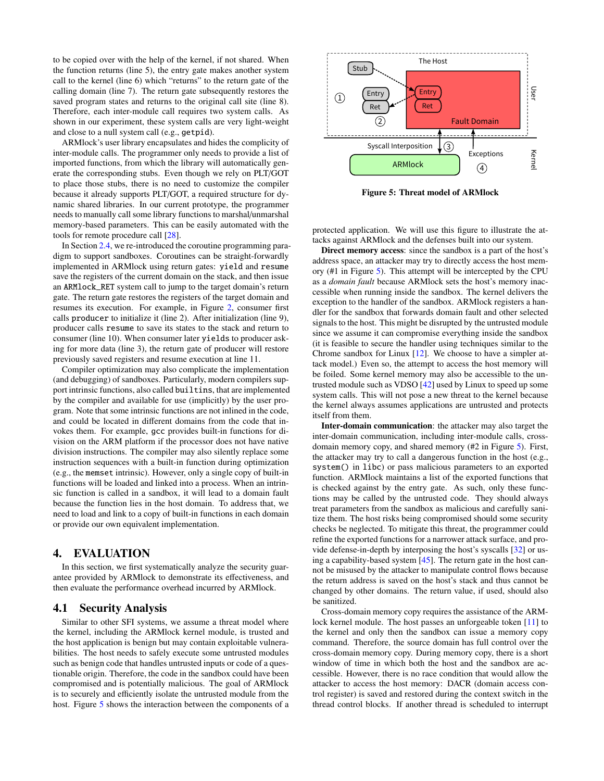to be copied over with the help of the kernel, if not shared. When the function returns (line 5), the entry gate makes another system call to the kernel (line 6) which "returns" to the return gate of the calling domain (line 7). The return gate subsequently restores the saved program states and returns to the original call site (line 8). Therefore, each inter-module call requires two system calls. As shown in our experiment, these system calls are very light-weight and close to a null system call (e.g., getpid).

ARMlock's user library encapsulates and hides the complicity of inter-module calls. The programmer only needs to provide a list of imported functions, from which the library will automatically generate the corresponding stubs. Even though we rely on PLT/GOT to place those stubs, there is no need to customize the compiler because it already supports PLT/GOT, a required structure for dynamic shared libraries. In our current prototype, the programmer needs to manually call some library functions to marshal/unmarshal memory-based parameters. This can be easily automated with the tools for remote procedure call [\[28\]](#page-11-1).

In Section [2.4,](#page-3-3) we re-introduced the coroutine programming paradigm to support sandboxes. Coroutines can be straight-forwardly implemented in ARMlock using return gates: yield and resume save the registers of the current domain on the stack, and then issue an ARMlock\_RET system call to jump to the target domain's return gate. The return gate restores the registers of the target domain and resumes its execution. For example, in Figure [2,](#page-3-2) consumer first calls producer to initialize it (line 2). After initialization (line 9), producer calls resume to save its states to the stack and return to consumer (line 10). When consumer later yields to producer asking for more data (line 3), the return gate of producer will restore previously saved registers and resume execution at line 11.

Compiler optimization may also complicate the implementation (and debugging) of sandboxes. Particularly, modern compilers support intrinsic functions, also called builtins, that are implemented by the compiler and available for use (implicitly) by the user program. Note that some intrinsic functions are not inlined in the code, and could be located in different domains from the code that invokes them. For example, gcc provides built-in functions for division on the ARM platform if the processor does not have native division instructions. The compiler may also silently replace some instruction sequences with a built-in function during optimization (e.g., the memset intrinsic). However, only a single copy of built-in functions will be loaded and linked into a process. When an intrinsic function is called in a sandbox, it will lead to a domain fault because the function lies in the host domain. To address that, we need to load and link to a copy of built-in functions in each domain or provide our own equivalent implementation.

# <span id="page-6-0"></span>4. EVALUATION

In this section, we first systematically analyze the security guarantee provided by ARMlock to demonstrate its effectiveness, and then evaluate the performance overhead incurred by ARMlock.

## <span id="page-6-2"></span>4.1 Security Analysis

Similar to other SFI systems, we assume a threat model where the kernel, including the ARMlock kernel module, is trusted and the host application is benign but may contain exploitable vulnerabilities. The host needs to safely execute some untrusted modules such as benign code that handles untrusted inputs or code of a questionable origin. Therefore, the code in the sandbox could have been compromised and is potentially malicious. The goal of ARMlock is to securely and efficiently isolate the untrusted module from the



<span id="page-6-1"></span>Figure 5: Threat model of ARMlock

protected application. We will use this figure to illustrate the attacks against ARMlock and the defenses built into our system.

Direct memory access: since the sandbox is a part of the host's address space, an attacker may try to directly access the host memory (#1 in Figure [5\)](#page-6-1). This attempt will be intercepted by the CPU as a *domain fault* because ARMlock sets the host's memory inaccessible when running inside the sandbox. The kernel delivers the exception to the handler of the sandbox. ARMlock registers a handler for the sandbox that forwards domain fault and other selected signals to the host. This might be disrupted by the untrusted module since we assume it can compromise everything inside the sandbox (it is feasible to secure the handler using techniques similar to the Chrome sandbox for Linux [\[12\]](#page-10-17). We choose to have a simpler attack model.) Even so, the attempt to access the host memory will be foiled. Some kernel memory may also be accessible to the untrusted module such as VDSO [\[42\]](#page-11-12) used by Linux to speed up some system calls. This will not pose a new threat to the kernel because the kernel always assumes applications are untrusted and protects itself from them.

host consider the proposition of between the proposition between the interaction between the interaction between the interaction between the interaction between the interaction between the interaction between the interact Inter-domain communication: the attacker may also target the inter-domain communication, including inter-module calls, crossdomain memory copy, and shared memory (#2 in Figure [5\)](#page-6-1). First, the attacker may try to call a dangerous function in the host (e.g., system() in libc) or pass malicious parameters to an exported function. ARMlock maintains a list of the exported functions that is checked against by the entry gate. As such, only these functions may be called by the untrusted code. They should always treat parameters from the sandbox as malicious and carefully sanitize them. The host risks being compromised should some security checks be neglected. To mitigate this threat, the programmer could refine the exported functions for a narrower attack surface, and provide defense-in-depth by interposing the host's syscalls [\[32\]](#page-11-13) or using a capability-based system [\[45\]](#page-11-11). The return gate in the host cannot be misused by the attacker to manipulate control flows because the return address is saved on the host's stack and thus cannot be changed by other domains. The return value, if used, should also be sanitized.

Cross-domain memory copy requires the assistance of the ARM-lock kernel module. The host passes an unforgeable token [\[11\]](#page-10-12) to the kernel and only then the sandbox can issue a memory copy command. Therefore, the source domain has full control over the cross-domain memory copy. During memory copy, there is a short window of time in which both the host and the sandbox are accessible. However, there is no race condition that would allow the attacker to access the host memory: DACR (domain access control register) is saved and restored during the context switch in the thread control blocks. If another thread is scheduled to interrupt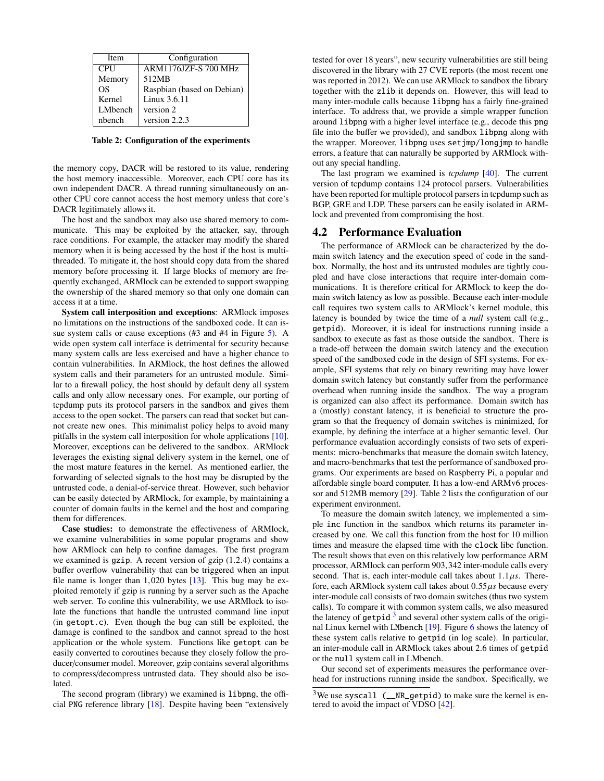| <b>I</b> tem   | Configuration              |
|----------------|----------------------------|
| <b>CPU</b>     | ARM1176JZF-S 700 MHz       |
| Memory         | 512MB                      |
| OS.            | Raspbian (based on Debian) |
| Kernel         | Linux 3.6.11               |
| <b>LMbench</b> | version 2                  |
| nbench         | version 2.2.3              |

<span id="page-7-0"></span>Table 2: Configuration of the experiments

the memory copy, DACR will be restored to its value, rendering the host memory inaccessible. Moreover, each CPU core has its own independent DACR. A thread running simultaneously on another CPU core cannot access the host memory unless that core's DACR legitimately allows it.

The host and the sandbox may also use shared memory to communicate. This may be exploited by the attacker, say, through race conditions. For example, the attacker may modify the shared memory when it is being accessed by the host if the host is multithreaded. To mitigate it, the host should copy data from the shared memory before processing it. If large blocks of memory are frequently exchanged, ARMlock can be extended to support swapping the ownership of the shared memory so that only one domain can access it at a time.

System call interposition and exceptions: ARMlock imposes no limitations on the instructions of the sandboxed code. It can issue system calls or cause exceptions (#3 and #4 in Figure [5\)](#page-6-1). A wide open system call interface is detrimental for security because many system calls are less exercised and have a higher chance to contain vulnerabilities. In ARMlock, the host defines the allowed system calls and their parameters for an untrusted module. Similar to a firewall policy, the host should by default deny all system calls and only allow necessary ones. For example, our porting of tcpdump puts its protocol parsers in the sandbox and gives them access to the open socket. The parsers can read that socket but cannot create new ones. This minimalist policy helps to avoid many pitfalls in the system call interposition for whole applications [\[10\]](#page-10-18). Moreover, exceptions can be delivered to the sandbox. ARMlock leverages the existing signal delivery system in the kernel, one of the most mature features in the kernel. As mentioned earlier, the forwarding of selected signals to the host may be disrupted by the untrusted code, a denial-of-service threat. However, such behavior can be easily detected by ARMlock, for example, by maintaining a counter of domain faults in the kernel and the host and comparing them for differences.

Case studies: to demonstrate the effectiveness of ARMlock, we examine vulnerabilities in some popular programs and show how ARMlock can help to confine damages. The first program we examined is gzip. A recent version of gzip (1.2.4) contains a buffer overflow vulnerability that can be triggered when an input file name is longer than  $1,020$  bytes  $[13]$ . This bug may be exploited remotely if gzip is running by a server such as the Apache web server. To confine this vulnerability, we use ARMlock to isolate the functions that handle the untrusted command line input (in getopt.c). Even though the bug can still be exploited, the damage is confined to the sandbox and cannot spread to the host application or the whole system. Functions like getopt can be easily converted to coroutines because they closely follow the producer/consumer model. Moreover, gzip contains several algorithms to compress/decompress untrusted data. They should also be isolated.

The second program (library) we examined is libpng, the official PNG reference library [\[18\]](#page-10-20). Despite having been "extensively tested for over 18 years", new security vulnerabilities are still being discovered in the library with 27 CVE reports (the most recent one was reported in 2012). We can use ARMlock to sandbox the library together with the zlib it depends on. However, this will lead to many inter-module calls because libpng has a fairly fine-grained interface. To address that, we provide a simple wrapper function around libpng with a higher level interface (e.g., decode this png file into the buffer we provided), and sandbox libpng along with the wrapper. Moreover, libpng uses setjmp/longjmp to handle errors, a feature that can naturally be supported by ARMlock without any special handling.

The last program we examined is *tcpdump* [\[40\]](#page-11-7). The current version of tcpdump contains 124 protocol parsers. Vulnerabilities have been reported for multiple protocol parsers in tcpdump such as BGP, GRE and LDP. These parsers can be easily isolated in ARMlock and prevented from compromising the host.

## 4.2 Performance Evaluation

The performance of ARMlock can be characterized by the domain switch latency and the execution speed of code in the sandbox. Normally, the host and its untrusted modules are tightly coupled and have close interactions that require inter-domain communications. It is therefore critical for ARMlock to keep the domain switch latency as low as possible. Because each inter-module call requires two system calls to ARMlock's kernel module, this latency is bounded by twice the time of a *null* system call (e.g., getpid). Moreover, it is ideal for instructions running inside a sandbox to execute as fast as those outside the sandbox. There is a trade-off between the domain switch latency and the execution speed of the sandboxed code in the design of SFI systems. For example, SFI systems that rely on binary rewriting may have lower domain switch latency but constantly suffer from the performance overhead when running inside the sandbox. The way a program is organized can also affect its performance. Domain switch has a (mostly) constant latency, it is beneficial to structure the program so that the frequency of domain switches is minimized, for example, by defining the interface at a higher semantic level. Our performance evaluation accordingly consists of two sets of experiments: micro-benchmarks that measure the domain switch latency, and macro-benchmarks that test the performance of sandboxed programs. Our experiments are based on Raspberry Pi, a popular and affordable single board computer. It has a low-end ARMv6 processor and 512MB memory [\[29\]](#page-11-6). Table [2](#page-7-0) lists the configuration of our experiment environment.

To measure the domain switch latency, we implemented a simple inc function in the sandbox which returns its parameter increased by one. We call this function from the host for 10 million times and measure the elapsed time with the clock libc function. The result shows that even on this relatively low performance ARM processor, ARMlock can perform 903,342 inter-module calls every second. That is, each inter-module call takes about  $1.1\mu s$ . Therefore, each ARMlock system call takes about 0.55µ*<sup>s</sup>* because every inter-module call consists of two domain switches (thus two system calls). To compare it with common system calls, we also measured the latency of  $\gcd^3$  $\gcd^3$  and several other system calls of the original Linux kernel with LMbench [\[19\]](#page-10-21). Figure [6](#page-8-1) shows the latency of these system calls relative to getpid (in log scale). In particular, an inter-module call in ARMlock takes about 2.6 times of getpid or the null system call in LMbench.

Our second set of experiments measures the performance overhead for instructions running inside the sandbox. Specifically, we

<span id="page-7-1"></span> $3$ We use syscall (\_NR\_getpid) to make sure the kernel is entered to avoid the impact of VDSO [\[42\]](#page-11-12).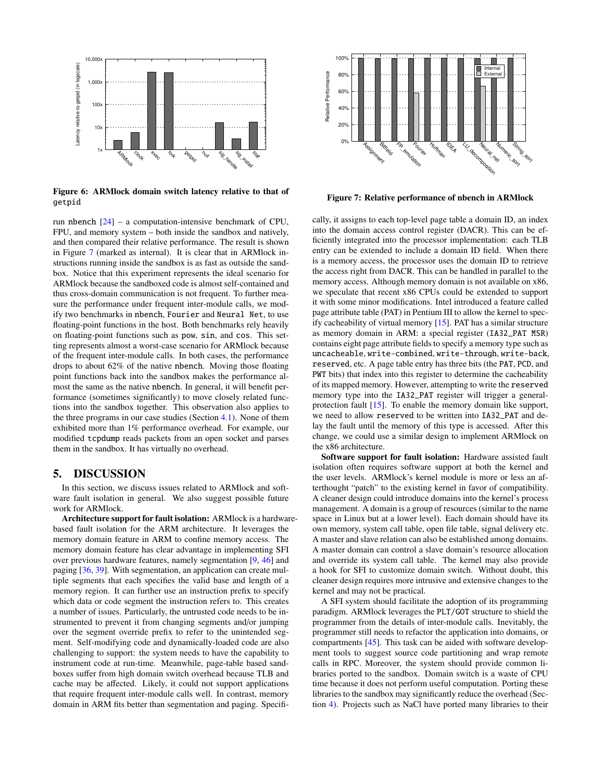

<span id="page-8-1"></span>Figure 6: ARMlock domain switch latency relative to that of getpid

run nbench  $[24]$  – a computation-intensive benchmark of CPU, FPU, and memory system – both inside the sandbox and natively, and then compared their relative performance. The result is shown in Figure [7](#page-8-2) (marked as internal). It is clear that in ARMlock instructions running inside the sandbox is as fast as outside the sandbox. Notice that this experiment represents the ideal scenario for ARMlock because the sandboxed code is almost self-contained and thus cross-domain communication is not frequent. To further measure the performance under frequent inter-module calls, we modify two benchmarks in nbench, Fourier and Neural Net, to use floating-point functions in the host. Both benchmarks rely heavily on floating-point functions such as pow, sin, and cos. This setting represents almost a worst-case scenario for ARMlock because of the frequent inter-module calls. In both cases, the performance drops to about 62% of the native nbench. Moving those floating point functions back into the sandbox makes the performance almost the same as the native nbench. In general, it will benefit performance (sometimes significantly) to move closely related functions into the sandbox together. This observation also applies to the three programs in our case studies (Section [4.1\)](#page-6-2). None of them exhibited more than 1% performance overhead. For example, our modified tcpdump reads packets from an open socket and parses them in the sandbox. It has virtually no overhead.

#### <span id="page-8-0"></span>5. DISCUSSION

In this section, we discuss issues related to ARMlock and software fault isolation in general. We also suggest possible future work for ARMlock.

Architecture support for fault isolation: ARMlock is a hardwarebased fault isolation for the ARM architecture. It leverages the memory domain feature in ARM to confine memory access. The memory domain feature has clear advantage in implementing SFI over previous hardware features, namely segmentation [\[9,](#page-10-2) [46\]](#page-11-3) and paging [\[36,](#page-11-15) [39\]](#page-11-16). With segmentation, an application can create multiple segments that each specifies the valid base and length of a memory region. It can further use an instruction prefix to specify which data or code segment the instruction refers to. This creates a number of issues. Particularly, the untrusted code needs to be instrumented to prevent it from changing segments and/or jumping over the segment override prefix to refer to the unintended segment. Self-modifying code and dynamically-loaded code are also challenging to support: the system needs to have the capability to instrument code at run-time. Meanwhile, page-table based sandboxes suffer from high domain switch overhead because TLB and cache may be affected. Likely, it could not support applications that require frequent inter-module calls well. In contrast, memory domain in ARM fits better than segmentation and paging. Specifi-



<span id="page-8-2"></span>Figure 7: Relative performance of nbench in ARMlock

cally, it assigns to each top-level page table a domain ID, an index into the domain access control register (DACR). This can be efficiently integrated into the processor implementation: each TLB entry can be extended to include a domain ID field. When there is a memory access, the processor uses the domain ID to retrieve the access right from DACR. This can be handled in parallel to the memory access. Although memory domain is not available on x86, we speculate that recent x86 CPUs could be extended to support it with some minor modifications. Intel introduced a feature called page attribute table (PAT) in Pentium III to allow the kernel to specify cacheability of virtual memory [\[15\]](#page-10-23). PAT has a similar structure as memory domain in ARM: a special register (IA32\_PAT MSR) contains eight page attribute fields to specify a memory type such as uncacheable, write-combined, write-through, write-back, reserved, etc. A page table entry has three bits (the PAT, PCD, and PWT bits) that index into this register to determine the cacheability of its mapped memory. However, attempting to write the reserved memory type into the IA32\_PAT register will trigger a generalprotection fault [\[15\]](#page-10-23). To enable the memory domain like support, we need to allow reserved to be written into IA32\_PAT and delay the fault until the memory of this type is accessed. After this change, we could use a similar design to implement ARMlock on the x86 architecture.

Software support for fault isolation: Hardware assisted fault isolation often requires software support at both the kernel and the user levels. ARMlock's kernel module is more or less an afterthought "patch" to the existing kernel in favor of compatibility. A cleaner design could introduce domains into the kernel's process management. A domain is a group of resources (similar to the name space in Linux but at a lower level). Each domain should have its own memory, system call table, open file table, signal delivery etc. A master and slave relation can also be established among domains. A master domain can control a slave domain's resource allocation and override its system call table. The kernel may also provide a hook for SFI to customize domain switch. Without doubt, this cleaner design requires more intrusive and extensive changes to the kernel and may not be practical.

A SFI system should facilitate the adoption of its programming paradigm. ARMlock leverages the PLT/GOT structure to shield the programmer from the details of inter-module calls. Inevitably, the programmer still needs to refactor the application into domains, or compartments [\[45\]](#page-11-11). This task can be aided with software development tools to suggest source code partitioning and wrap remote calls in RPC. Moreover, the system should provide common libraries ported to the sandbox. Domain switch is a waste of CPU time because it does not perform useful computation. Porting these libraries to the sandbox may significantly reduce the overhead (Section [4\)](#page-6-0). Projects such as NaCl have ported many libraries to their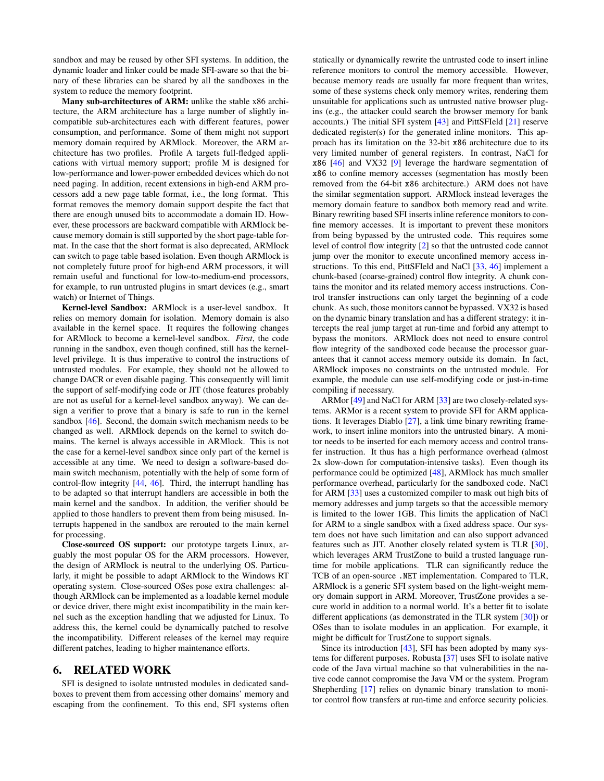sandbox and may be reused by other SFI systems. In addition, the dynamic loader and linker could be made SFI-aware so that the binary of these libraries can be shared by all the sandboxes in the system to reduce the memory footprint.

Many sub-architectures of ARM: unlike the stable x86 architecture, the ARM architecture has a large number of slightly incompatible sub-architectures each with different features, power consumption, and performance. Some of them might not support memory domain required by ARMlock. Moreover, the ARM architecture has two profiles. Profile A targets full-fledged applications with virtual memory support; profile M is designed for low-performance and lower-power embedded devices which do not need paging. In addition, recent extensions in high-end ARM processors add a new page table format, i.e., the long format. This format removes the memory domain support despite the fact that there are enough unused bits to accommodate a domain ID. However, these processors are backward compatible with ARMlock because memory domain is still supported by the short page-table format. In the case that the short format is also deprecated, ARMlock can switch to page table based isolation. Even though ARMlock is not completely future proof for high-end ARM processors, it will remain useful and functional for low-to-medium-end processors, for example, to run untrusted plugins in smart devices (e.g., smart watch) or Internet of Things.

Kernel-level Sandbox: ARMlock is a user-level sandbox. It relies on memory domain for isolation. Memory domain is also available in the kernel space. It requires the following changes for ARMlock to become a kernel-level sandbox. *First*, the code running in the sandbox, even though confined, still has the kernellevel privilege. It is thus imperative to control the instructions of untrusted modules. For example, they should not be allowed to change DACR or even disable paging. This consequently will limit the support of self-modifying code or JIT (those features probably are not as useful for a kernel-level sandbox anyway). We can design a verifier to prove that a binary is safe to run in the kernel sandbox [\[46\]](#page-11-3). Second, the domain switch mechanism needs to be changed as well. ARMlock depends on the kernel to switch domains. The kernel is always accessible in ARMlock. This is not the case for a kernel-level sandbox since only part of the kernel is accessible at any time. We need to design a software-based domain switch mechanism, potentially with the help of some form of control-flow integrity [\[44,](#page-11-17) [46\]](#page-11-3). Third, the interrupt handling has to be adapted so that interrupt handlers are accessible in both the main kernel and the sandbox. In addition, the verifier should be applied to those handlers to prevent them from being misused. Interrupts happened in the sandbox are rerouted to the main kernel for processing.

Close-sourced OS support: our prototype targets Linux, arguably the most popular OS for the ARM processors. However, the design of ARMlock is neutral to the underlying OS. Particularly, it might be possible to adapt ARMlock to the Windows RT operating system. Close-sourced OSes pose extra challenges: although ARMlock can be implemented as a loadable kernel module or device driver, there might exist incompatibility in the main kernel such as the exception handling that we adjusted for Linux. To address this, the kernel could be dynamically patched to resolve the incompatibility. Different releases of the kernel may require different patches, leading to higher maintenance efforts.

## <span id="page-9-0"></span>6. RELATED WORK

SFI is designed to isolate untrusted modules in dedicated sandboxes to prevent them from accessing other domains' memory and escaping from the confinement. To this end, SFI systems often statically or dynamically rewrite the untrusted code to insert inline reference monitors to control the memory accessible. However, because memory reads are usually far more frequent than writes, some of these systems check only memory writes, rendering them unsuitable for applications such as untrusted native browser plugins (e.g., the attacker could search the browser memory for bank accounts.) The initial SFI system [\[43\]](#page-11-0) and PittSFIeld [\[21\]](#page-10-4) reserve dedicated register(s) for the generated inline monitors. This approach has its limitation on the 32-bit x86 architecture due to its very limited number of general registers. In contrast, NaCl for x86 [\[46\]](#page-11-3) and VX32 [\[9\]](#page-10-2) leverage the hardware segmentation of x86 to confine memory accesses (segmentation has mostly been removed from the 64-bit x86 architecture.) ARM does not have the similar segmentation support. ARMlock instead leverages the memory domain feature to sandbox both memory read and write. Binary rewriting based SFI inserts inline reference monitors to confine memory accesses. It is important to prevent these monitors from being bypassed by the untrusted code. This requires some level of control flow integrity [\[2\]](#page-10-8) so that the untrusted code cannot jump over the monitor to execute unconfined memory access instructions. To this end, PittSFIeld and NaCl [\[33,](#page-11-2) [46\]](#page-11-3) implement a chunk-based (coarse-grained) control flow integrity. A chunk contains the monitor and its related memory access instructions. Control transfer instructions can only target the beginning of a code chunk. As such, those monitors cannot be bypassed. VX32 is based on the dynamic binary translation and has a different strategy: it intercepts the real jump target at run-time and forbid any attempt to bypass the monitors. ARMlock does not need to ensure control flow integrity of the sandboxed code because the processor guarantees that it cannot access memory outside its domain. In fact, ARMlock imposes no constraints on the untrusted module. For example, the module can use self-modifying code or just-in-time compiling if necessary.

ARMor [\[49\]](#page-11-5) and NaCl for ARM [\[33\]](#page-11-2) are two closely-related systems. ARMor is a recent system to provide SFI for ARM applications. It leverages Diablo [\[27\]](#page-11-18), a link time binary rewriting framework, to insert inline monitors into the untrusted binary. A monitor needs to be inserted for each memory access and control transfer instruction. It thus has a high performance overhead (almost 2x slow-down for computation-intensive tasks). Even though its performance could be optimized [\[48\]](#page-11-19), ARMlock has much smaller performance overhead, particularly for the sandboxed code. NaCl for ARM [\[33\]](#page-11-2) uses a customized compiler to mask out high bits of memory addresses and jump targets so that the accessible memory is limited to the lower 1GB. This limits the application of NaCl for ARM to a single sandbox with a fixed address space. Our system does not have such limitation and can also support advanced features such as JIT. Another closely related system is TLR [\[30\]](#page-11-20), which leverages ARM TrustZone to build a trusted language runtime for mobile applications. TLR can significantly reduce the TCB of an open-source .NET implementation. Compared to TLR, ARMlock is a generic SFI system based on the light-weight memory domain support in ARM. Moreover, TrustZone provides a secure world in addition to a normal world. It's a better fit to isolate different applications (as demonstrated in the TLR system [\[30\]](#page-11-20)) or OSes than to isolate modules in an application. For example, it might be difficult for TrustZone to support signals.

Since its introduction  $[43]$ , SFI has been adopted by many systems for different purposes. Robusta [\[37\]](#page-11-21) uses SFI to isolate native code of the Java virtual machine so that vulnerabilities in the native code cannot compromise the Java VM or the system. Program Shepherding [\[17\]](#page-10-24) relies on dynamic binary translation to monitor control flow transfers at run-time and enforce security policies.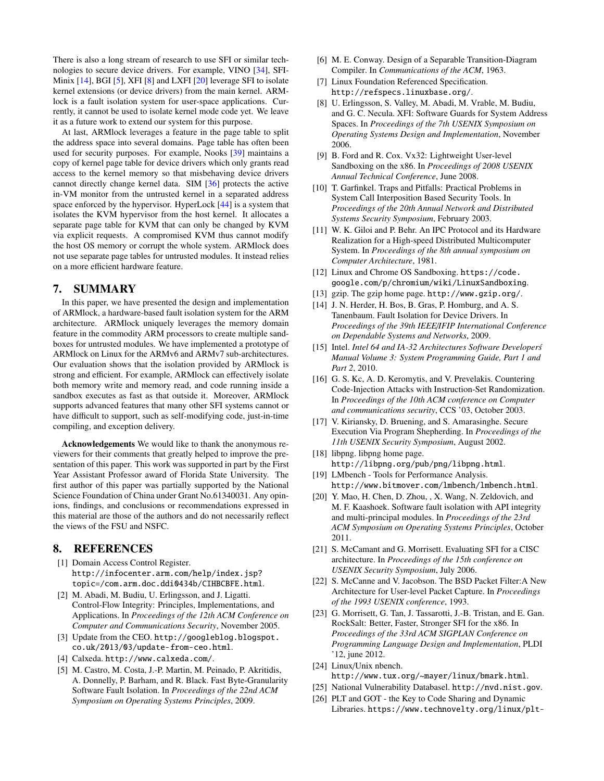There is also a long stream of research to use SFI or similar technologies to secure device drivers. For example, VINO [\[34\]](#page-11-22), SFI-Minix [\[14\]](#page-10-25), BGI [\[5\]](#page-10-26), XFI [\[8\]](#page-10-1) and LXFI [\[20\]](#page-10-3) leverage SFI to isolate kernel extensions (or device drivers) from the main kernel. ARMlock is a fault isolation system for user-space applications. Currently, it cannot be used to isolate kernel mode code yet. We leave it as a future work to extend our system for this purpose.

At last, ARMlock leverages a feature in the page table to split the address space into several domains. Page table has often been used for security purposes. For example, Nooks [\[39\]](#page-11-16) maintains a copy of kernel page table for device drivers which only grants read access to the kernel memory so that misbehaving device drivers cannot directly change kernel data. SIM [\[36\]](#page-11-15) protects the active in-VM monitor from the untrusted kernel in a separated address space enforced by the hypervisor. HyperLock [\[44\]](#page-11-17) is a system that isolates the KVM hypervisor from the host kernel. It allocates a separate page table for KVM that can only be changed by KVM via explicit requests. A compromised KVM thus cannot modify the host OS memory or corrupt the whole system. ARMlock does not use separate page tables for untrusted modules. It instead relies on a more efficient hardware feature.

## <span id="page-10-9"></span>7. SUMMARY

In this paper, we have presented the design and implementation of ARMlock, a hardware-based fault isolation system for the ARM architecture. ARMlock uniquely leverages the memory domain feature in the commodity ARM processors to create multiple sandboxes for untrusted modules. We have implemented a prototype of ARMlock on Linux for the ARMv6 and ARMv7 sub-architectures. Our evaluation shows that the isolation provided by ARMlock is strong and efficient. For example, ARMlock can effectively isolate both memory write and memory read, and code running inside a sandbox executes as fast as that outside it. Moreover, ARMlock supports advanced features that many other SFI systems cannot or have difficult to support, such as self-modifying code, just-in-time compiling, and exception delivery.

Acknowledgements We would like to thank the anonymous reviewers for their comments that greatly helped to improve the presentation of this paper. This work was supported in part by the First Year Assistant Professor award of Florida State University. The first author of this paper was partially supported by the National Science Foundation of China under Grant No.61340031. Any opinions, findings, and conclusions or recommendations expressed in this material are those of the authors and do not necessarily reflect the views of the FSU and NSFC.

#### 8. REFERENCES

- <span id="page-10-11"></span>[1] Domain Access Control Register. [http://infocenter.arm.com/help/index.jsp?](http://infocenter.arm.com/help/index.jsp?topic=/com.arm.doc.ddi0434b/CIHBCBFE.html) [topic=/com.arm.doc.ddi0434b/CIHBCBFE.html](http://infocenter.arm.com/help/index.jsp?topic=/com.arm.doc.ddi0434b/CIHBCBFE.html).
- <span id="page-10-8"></span>[2] M. Abadi, M. Budiu, U. Erlingsson, and J. Ligatti. Control-Flow Integrity: Principles, Implementations, and Applications. In *Proceedings of the 12th ACM Conference on Computer and Communications Security*, November 2005.
- <span id="page-10-6"></span>[3] Update from the CEO. [http://googleblog.blogspot.](http://googleblog.blogspot.co.uk/2013/03/update-from-ceo.html) [co.uk/2013/03/update-from-ceo.html](http://googleblog.blogspot.co.uk/2013/03/update-from-ceo.html).
- <span id="page-10-7"></span>[4] Calxeda. <http://www.calxeda.com/>.
- <span id="page-10-26"></span>[5] M. Castro, M. Costa, J.-P. Martin, M. Peinado, P. Akritidis, A. Donnelly, P. Barham, and R. Black. Fast Byte-Granularity Software Fault Isolation. In *Proceedings of the 22nd ACM Symposium on Operating Systems Principles*, 2009.
- <span id="page-10-13"></span>[6] M. E. Conway. Design of a Separable Transition-Diagram Compiler. In *Communications of the ACM*, 1963.
- <span id="page-10-15"></span>[7] Linux Foundation Referenced Specification. <http://refspecs.linuxbase.org/>.
- <span id="page-10-1"></span>[8] U. Erlingsson, S. Valley, M. Abadi, M. Vrable, M. Budiu, and G. C. Necula. XFI: Software Guards for System Address Spaces. In *Proceedings of the 7th USENIX Symposium on Operating Systems Design and Implementation*, November 2006.
- <span id="page-10-2"></span>[9] B. Ford and R. Cox. Vx32: Lightweight User-level Sandboxing on the x86. In *Proceedings of 2008 USENIX Annual Technical Conference*, June 2008.
- <span id="page-10-18"></span>[10] T. Garfinkel. Traps and Pitfalls: Practical Problems in System Call Interposition Based Security Tools. In *Proceedings of the 20th Annual Network and Distributed Systems Security Symposium*, February 2003.
- <span id="page-10-12"></span>[11] W. K. Giloi and P. Behr. An IPC Protocol and its Hardware Realization for a High-speed Distributed Multicomputer System. In *Proceedings of the 8th annual symposium on Computer Architecture*, 1981.
- <span id="page-10-17"></span>[12] Linux and Chrome OS Sandboxing. [https://code.](https://code.google.com/p/chromium/wiki/LinuxSandboxing) [google.com/p/chromium/wiki/LinuxSandboxing](https://code.google.com/p/chromium/wiki/LinuxSandboxing).
- <span id="page-10-19"></span>[13] gzip. The gzip home page. <http://www.gzip.org/>.
- <span id="page-10-25"></span>[14] J. N. Herder, H. Bos, B. Gras, P. Homburg, and A. S. Tanenbaum. Fault Isolation for Device Drivers. In *Proceedings of the 39th IEEE*/*IFIP International Conference on Dependable Systems and Networks*, 2009.
- <span id="page-10-23"></span>[15] Intel. *Intel 64 and IA-32 Architectures Software Developers´ Manual Volume 3: System Programming Guide, Part 1 and Part 2*, 2010.
- <span id="page-10-10"></span>[16] G. S. Kc, A. D. Keromytis, and V. Prevelakis. Countering Code-Injection Attacks with Instruction-Set Randomization. In *Proceedings of the 10th ACM conference on Computer and communications security*, CCS '03, October 2003.
- <span id="page-10-24"></span>[17] V. Kiriansky, D. Bruening, and S. Amarasinghe. Secure Execution Via Program Shepherding. In *Proceedings of the 11th USENIX Security Symposium*, August 2002.
- <span id="page-10-20"></span>[18] libpng. libpng home page. <http://libpng.org/pub/png/libpng.html>.
- <span id="page-10-21"></span>[19] LMbench - Tools for Performance Analysis. <http://www.bitmover.com/lmbench/lmbench.html>.
- <span id="page-10-3"></span>[20] Y. Mao, H. Chen, D. Zhou, , X. Wang, N. Zeldovich, and M. F. Kaashoek. Software fault isolation with API integrity and multi-principal modules. In *Proceedings of the 23rd ACM Symposium on Operating Systems Principles*, October 2011.
- <span id="page-10-4"></span>[21] S. McCamant and G. Morrisett. Evaluating SFI for a CISC architecture. In *Proceedings of the 15th conference on USENIX Security Symposium*, July 2006.
- <span id="page-10-14"></span>[22] S. McCanne and V. Jacobson. The BSD Packet Filter:A New Architecture for User-level Packet Capture. In *Proceedings of the 1993 USENIX conference*, 1993.
- <span id="page-10-5"></span>[23] G. Morrisett, G. Tan, J. Tassarotti, J.-B. Tristan, and E. Gan. RockSalt: Better, Faster, Stronger SFI for the x86. In *Proceedings of the 33rd ACM SIGPLAN Conference on Programming Language Design and Implementation*, PLDI '12, june 2012.
- <span id="page-10-22"></span>[24] Linux/Unix nbench. <http://www.tux.org/~mayer/linux/bmark.html>.
- <span id="page-10-0"></span>[25] National Vulnerability Databasel. <http://nvd.nist.gov>.
- <span id="page-10-16"></span>[26] PLT and GOT - the Key to Code Sharing and Dynamic Libraries. [https://www.technovelty.org/linux/plt-](https://www.technovelty.org/linux/plt-and-got-the-key-to-code-sharing-and-dynamic-libraries.html)